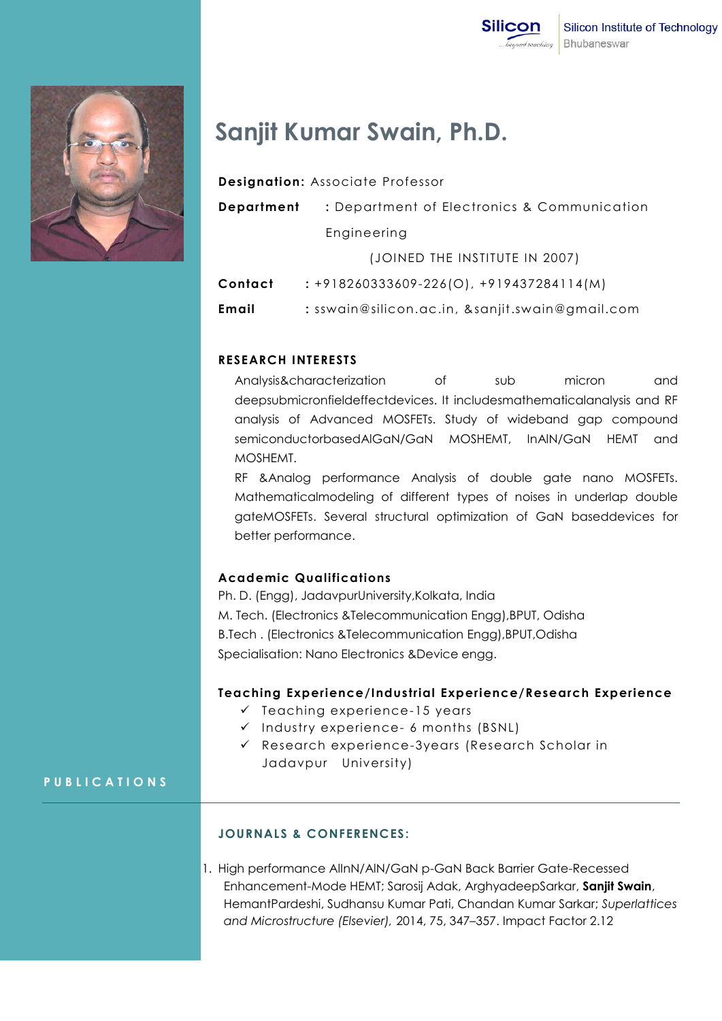

# **Sanjit Kumar Swain, Ph.D.**

| Department | : Department of Electronics & Communication  |
|------------|----------------------------------------------|
|            | Engineering                                  |
|            | (JOINED THE INSTITUTE IN 2007)               |
| Contact    | $: +918260333609 - 226(0), +919437284114(M)$ |

**Email :** sswain@silicon.ac.in, &sanjit.swain@gmail.com

### **RESEARCH INTERESTS**

Analysis&characterization of sub micron and deepsubmicronfieldeffectdevices. It includesmathematicalanalysis and RF analysis of Advanced MOSFETs. Study of wideband gap compound semiconductorbasedAlGaN/GaN MOSHEMT, InAlN/GaN HEMT and MOSHEMT.

RF &Analog performance Analysis of double gate nano MOSFETs. Mathematicalmodeling of different types of noises in underlap double gateMOSFETs. Several structural optimization of GaN baseddevices for better performance.

#### **Academic Qualifications**

Ph. D. (Engg), JadavpurUniversity,Kolkata, India M. Tech. (Electronics &Telecommunication Engg),BPUT, Odisha B.Tech . (Electronics &Telecommunication Engg),BPUT,Odisha Specialisation: Nano Electronics &Device engg.

#### **Teaching Experience/Industrial Experience/Research Experience**

- $\checkmark$  Teaching experience-15 years
- $\checkmark$  Industry experience- 6 months (BSNL)
- Research experience-3years (Research Scholar in Jadavpur University)

#### **P U B L I C A T I O N S**

## **JOURNALS & CONFERENCES:**

1. High performance AlInN/AlN/GaN p-GaN Back Barrier Gate-Recessed Enhancement-Mode HEMT; Sarosij Adak, ArghyadeepSarkar, **Sanjit Swain**, HemantPardeshi, Sudhansu Kumar Pati, Chandan Kumar Sarkar; *Superlattices and Microstructure (Elsevier),* 2014, 75, 347–357. Impact Factor 2.12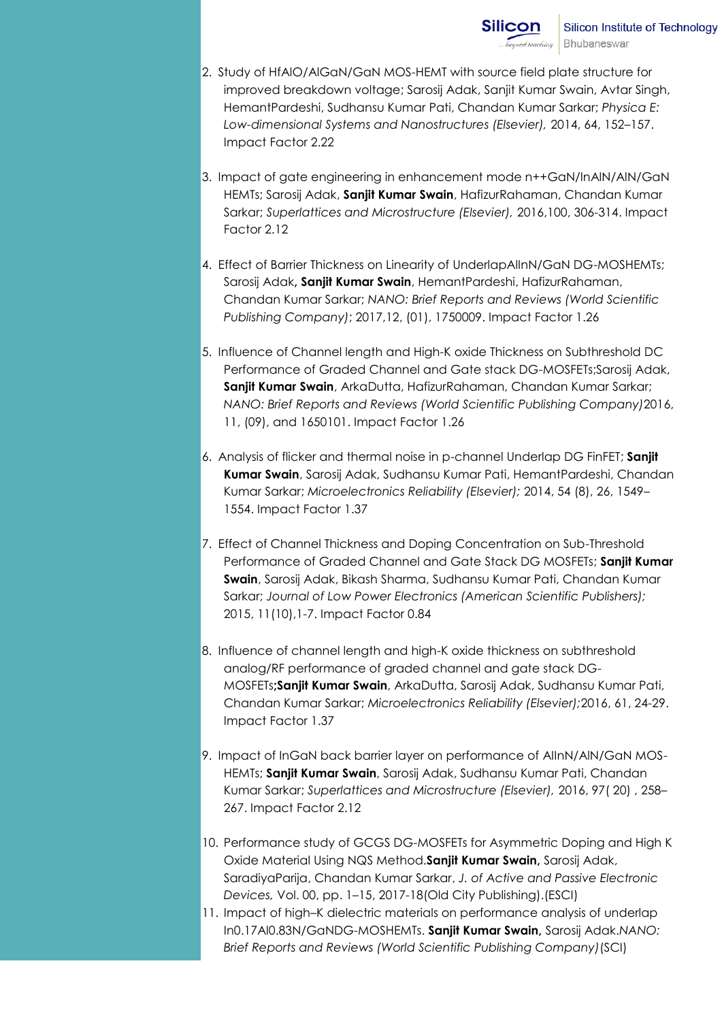- 2. Study of HfAlO/AlGaN/GaN MOS-HEMT with source field plate structure for improved breakdown voltage; Sarosij Adak, Sanjit Kumar Swain, Avtar Singh, HemantPardeshi, Sudhansu Kumar Pati, Chandan Kumar Sarkar; *Physica E: Low-dimensional Systems and Nanostructures (Elsevier),* 2014, 64, 152–157. Impact Factor 2.22
- 3. Impact of gate engineering in enhancement mode n++GaN/InAlN/AlN/GaN HEMTs; Sarosij Adak, **Sanjit Kumar Swain**, HafizurRahaman, Chandan Kumar Sarkar; *Superlattices and Microstructure (Elsevier),* 2016,100, 306-314. Impact Factor 2.12
- 4. Effect of Barrier Thickness on Linearity of UnderlapAlInN/GaN DG-MOSHEMTs; Sarosij Adak**, Sanjit Kumar Swain**, HemantPardeshi, HafizurRahaman, Chandan Kumar Sarkar; *NANO: Brief Reports and Reviews (World Scientific Publishing Company)*; 2017,12, (01), 1750009. Impact Factor 1.26
- 5. Influence of Channel length and High-K oxide Thickness on Subthreshold DC Performance of Graded Channel and Gate stack DG-MOSFETs;Sarosij Adak, **Sanjit Kumar Swain**, ArkaDutta, HafizurRahaman, Chandan Kumar Sarkar; *NANO: Brief Reports and Reviews (World Scientific Publishing Company)*2016, 11, (09), and 1650101. Impact Factor 1.26
- 6. Analysis of flicker and thermal noise in p-channel Underlap DG FinFET; **Sanjit Kumar Swain**, Sarosij Adak, Sudhansu Kumar Pati, HemantPardeshi, Chandan Kumar Sarkar; *Microelectronics Reliability (Elsevier);* 2014, 54 (8), 26, 1549– 1554. Impact Factor 1.37
- 7. Effect of Channel Thickness and Doping Concentration on Sub-Threshold Performance of Graded Channel and Gate Stack DG MOSFETs; **Sanjit Kumar Swain**, Sarosij Adak, Bikash Sharma, Sudhansu Kumar Pati, Chandan Kumar Sarkar; *Journal of Low Power Electronics (American Scientific Publishers);*  2015, 11(10),1-7. Impact Factor 0.84
- 8. Influence of channel length and high-K oxide thickness on subthreshold analog/RF performance of graded channel and gate stack DG-MOSFETs**;Sanjit Kumar Swain**, ArkaDutta, Sarosij Adak, Sudhansu Kumar Pati, Chandan Kumar Sarkar; *Microelectronics Reliability (Elsevier);*2016, 61, 24-29. Impact Factor 1.37
- 9. Impact of InGaN back barrier layer on performance of AIInN/AlN/GaN MOS-HEMTs; **Sanjit Kumar Swain**, Sarosij Adak, Sudhansu Kumar Pati, Chandan Kumar Sarkar; *Superlattices and Microstructure (Elsevier),* 2016, 97( 20) , 258– 267. Impact Factor 2.12
- 10. Performance study of GCGS DG-MOSFETs for Asymmetric Doping and High K Oxide Material Using NQS Method.**Sanjit Kumar Swain,** Sarosij Adak, SaradiyaParija, Chandan Kumar Sarkar, *J. of Active and Passive Electronic Devices,* Vol. 00, pp. 1–15, 2017-18(Old City Publishing).(ESCI)
- 11. Impact of high–K dielectric materials on performance analysis of underlap In0.17Al0.83N/GaNDG-MOSHEMTs. **Sanjit Kumar Swain,** Sarosij Adak.*NANO: Brief Reports and Reviews (World Scientific Publishing Company)*(SCI)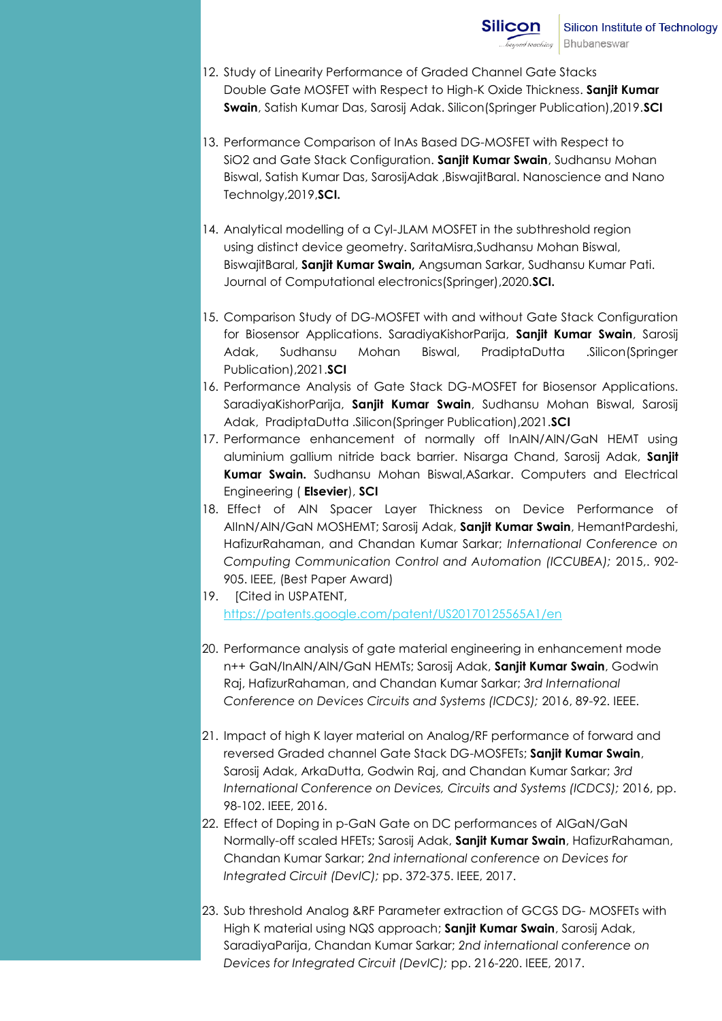- 12. Study of Linearity Performance of Graded Channel Gate Stacks Double Gate MOSFET with Respect to High-K Oxide Thickness. **Sanjit Kumar Swain**, Satish Kumar Das, Sarosij Adak. Silicon(Springer Publication),2019.**SCI**
- 13. Performance Comparison of InAs Based DG-MOSFET with Respect to SiO2 and Gate Stack Configuration. **Sanjit Kumar Swain**, Sudhansu Mohan Biswal, Satish Kumar Das, SarosijAdak ,BiswajitBaral. Nanoscience and Nano Technolgy,2019,**SCI.**
- 14. Analytical modelling of a Cyl-JLAM MOSFET in the subthreshold region using distinct device geometry. SaritaMisra,Sudhansu Mohan Biswal, BiswajitBaral, **Sanjit Kumar Swain,** Angsuman Sarkar, Sudhansu Kumar Pati. Journal of Computational electronics(Springer),2020.**SCI.**
- 15. Comparison Study of DG-MOSFET with and without Gate Stack Configuration for Biosensor Applications. SaradiyaKishorParija, **Sanjit Kumar Swain**, Sarosij Adak, Sudhansu Mohan Biswal, PradiptaDutta .Silicon(Springer Publication),2021.**SCI**
- 16. Performance Analysis of Gate Stack DG-MOSFET for Biosensor Applications. SaradiyaKishorParija, **Sanjit Kumar Swain**, Sudhansu Mohan Biswal, Sarosij Adak, PradiptaDutta .Silicon(Springer Publication),2021.**SCI**
- 17. Performance enhancement of normally off InAlN/AlN/GaN HEMT using aluminium gallium nitride back barrier. Nisarga Chand, Sarosij Adak, **Sanjit Kumar Swain.** Sudhansu Mohan Biswal,ASarkar. Computers and Electrical Engineering ( **Elsevier**), **SCI**
- 18. Effect of AlN Spacer Layer Thickness on Device Performance of AIInN/AlN/GaN MOSHEMT; Sarosij Adak, **Sanjit Kumar Swain**, HemantPardeshi, HafizurRahaman, and Chandan Kumar Sarkar; *International Conference on Computing Communication Control and Automation (ICCUBEA);* 2015,. 902- 905. IEEE, (Best Paper Award)
- 19. [Cited in USPATENT, https://patents.google.com/patent/US20170125565A1/en
- 20. Performance analysis of gate material engineering in enhancement mode n++ GaN/InAlN/AlN/GaN HEMTs; Sarosij Adak, **Sanjit Kumar Swain**, Godwin Raj, HafizurRahaman, and Chandan Kumar Sarkar; *3rd International Conference on Devices Circuits and Systems (ICDCS);* 2016, 89-92. IEEE.
- 21. Impact of high K layer material on Analog/RF performance of forward and reversed Graded channel Gate Stack DG-MOSFETs; **Sanjit Kumar Swain**, Sarosij Adak, ArkaDutta, Godwin Raj, and Chandan Kumar Sarkar; *3rd International Conference on Devices, Circuits and Systems (ICDCS);* 2016, pp. 98-102. IEEE, 2016.
- 22. Effect of Doping in p-GaN Gate on DC performances of AlGaN/GaN Normally-off scaled HFETs; Sarosij Adak, **Sanjit Kumar Swain**, HafizurRahaman, Chandan Kumar Sarkar; *2nd international conference on Devices for Integrated Circuit (DevIC);* pp. 372-375. IEEE, 2017.
- 23. Sub threshold Analog &RF Parameter extraction of GCGS DG- MOSFETs with High K material using NQS approach; **Sanjit Kumar Swain**, Sarosij Adak, SaradiyaParija, Chandan Kumar Sarkar; *2nd international conference on Devices for Integrated Circuit (DevIC);* pp. 216-220. IEEE, 2017.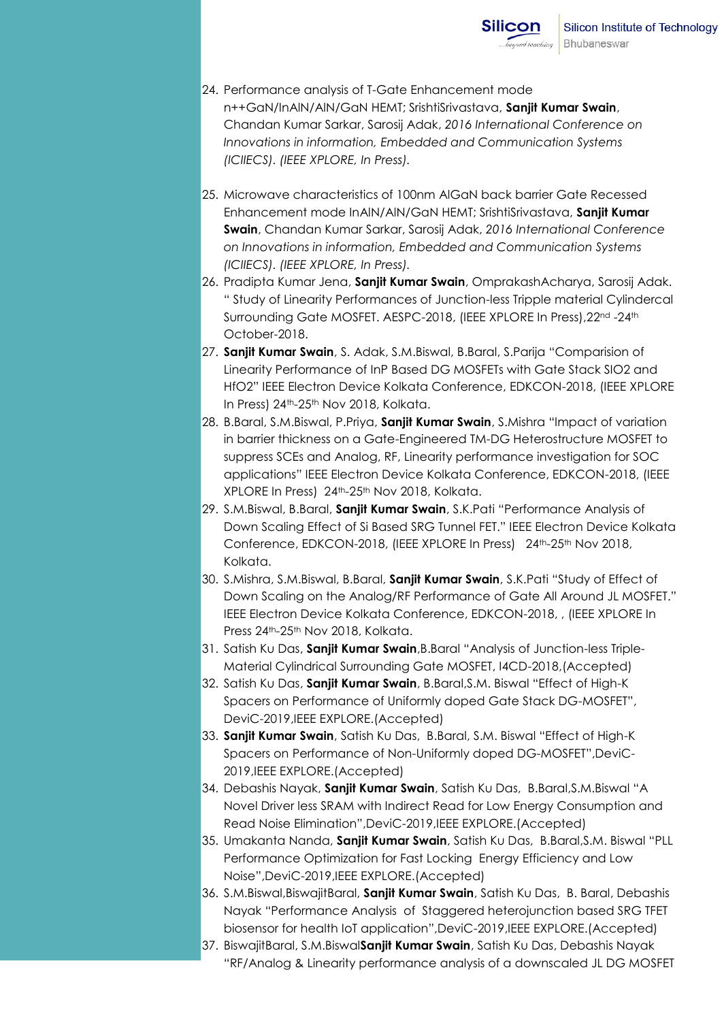- 24. Performance analysis of T-Gate Enhancement mode n++GaN/InAlN/AlN/GaN HEMT; SrishtiSrivastava, **Sanjit Kumar Swain**, Chandan Kumar Sarkar, Sarosij Adak, *2016 International Conference on Innovations in information, Embedded and Communication Systems (ICIIECS). (IEEE XPLORE, In Press).*
- 25. Microwave characteristics of 100nm AlGaN back barrier Gate Recessed Enhancement mode InAlN/AlN/GaN HEMT; SrishtiSrivastava, **Sanjit Kumar Swain**, Chandan Kumar Sarkar, Sarosij Adak, *2016 International Conference on Innovations in information, Embedded and Communication Systems (ICIIECS). (IEEE XPLORE, In Press).*
- 26. Pradipta Kumar Jena, **Sanjit Kumar Swain**, OmprakashAcharya, Sarosij Adak. " Study of Linearity Performances of Junction-less Tripple material Cylindercal Surrounding Gate MOSFET. AESPC-2018, (IEEE XPLORE In Press),22nd -24th October-2018.
- 27. **Sanjit Kumar Swain**, S. Adak, S.M.Biswal, B.Baral, S.Parija "Comparision of Linearity Performance of InP Based DG MOSFETs with Gate Stack SIO2 and HfO2" IEEE Electron Device Kolkata Conference, EDKCON-2018, (IEEE XPLORE In Press) 24<sup>th</sup>-25<sup>th</sup> Nov 2018, Kolkata.
- 28. B.Baral, S.M.Biswal, P.Priya, **Sanjit Kumar Swain**, S.Mishra "Impact of variation in barrier thickness on a Gate-Engineered TM-DG Heterostructure MOSFET to suppress SCEs and Analog, RF, Linearity performance investigation for SOC applications" IEEE Electron Device Kolkata Conference, EDKCON-2018, (IEEE XPLORE In Press) 24th-25th Nov 2018, Kolkata.
- 29. S.M.Biswal, B.Baral, **Sanjit Kumar Swain**, S.K.Pati "Performance Analysis of Down Scaling Effect of Si Based SRG Tunnel FET." IEEE Electron Device Kolkata Conference, EDKCON-2018, (IEEE XPLORE In Press) 24<sup>th</sup>-25<sup>th</sup> Nov 2018, Kolkata.
- 30. S.Mishra, S.M.Biswal, B.Baral, **Sanjit Kumar Swain**, S.K.Pati "Study of Effect of Down Scaling on the Analog/RF Performance of Gate All Around JL MOSFET." IEEE Electron Device Kolkata Conference, EDKCON-2018, , (IEEE XPLORE In Press 24<sup>th</sup>-25<sup>th</sup> Nov 2018, Kolkata.
- 31. Satish Ku Das, **Sanjit Kumar Swain**,B.Baral "Analysis of Junction-less Triple-Material Cylindrical Surrounding Gate MOSFET, I4CD-2018,(Accepted)
- 32. Satish Ku Das, **Sanjit Kumar Swain**, B.Baral,S.M. Biswal "Effect of High-K Spacers on Performance of Uniformly doped Gate Stack DG-MOSFET", DeviC-2019,IEEE EXPLORE.(Accepted)
- 33. **Sanjit Kumar Swain**, Satish Ku Das, B.Baral, S.M. Biswal "Effect of High-K Spacers on Performance of Non-Uniformly doped DG-MOSFET",DeviC-2019,IEEE EXPLORE.(Accepted)
- 34. Debashis Nayak, **Sanjit Kumar Swain**, Satish Ku Das, B.Baral,S.M.Biswal "A Novel Driver less SRAM with Indirect Read for Low Energy Consumption and Read Noise Elimination",DeviC-2019,IEEE EXPLORE.(Accepted)
- 35. Umakanta Nanda, **Sanjit Kumar Swain**, Satish Ku Das, B.Baral,S.M. Biswal "PLL Performance Optimization for Fast Locking Energy Efficiency and Low Noise",DeviC-2019,IEEE EXPLORE.(Accepted)
- 36. S.M.Biswal,BiswajitBaral, **Sanjit Kumar Swain**, Satish Ku Das, B. Baral, Debashis Nayak "Performance Analysis of Staggered heterojunction based SRG TFET biosensor for health IoT application",DeviC-2019,IEEE EXPLORE.(Accepted)
- 37. BiswajitBaral, S.M.Biswal**Sanjit Kumar Swain**, Satish Ku Das, Debashis Nayak "RF/Analog & Linearity performance analysis of a downscaled JL DG MOSFET